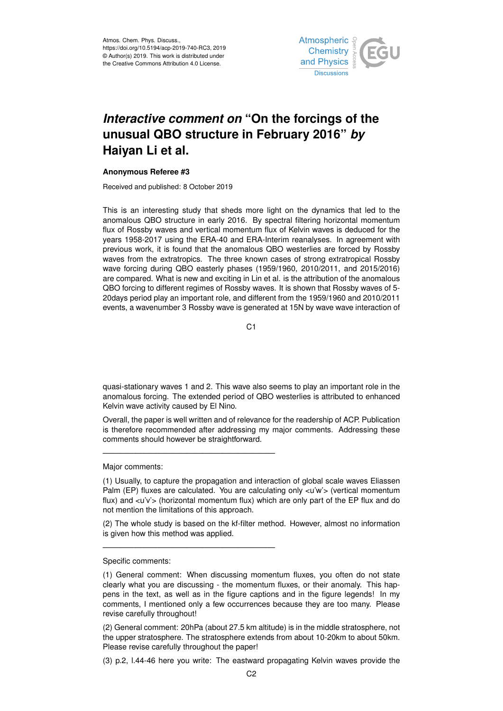

## *Interactive comment on* **"On the forcings of the unusual QBO structure in February 2016"** *by* **Haiyan Li et al.**

## **Anonymous Referee #3**

Received and published: 8 October 2019

This is an interesting study that sheds more light on the dynamics that led to the anomalous QBO structure in early 2016. By spectral filtering horizontal momentum flux of Rossby waves and vertical momentum flux of Kelvin waves is deduced for the years 1958-2017 using the ERA-40 and ERA-Interim reanalyses. In agreement with previous work, it is found that the anomalous QBO westerlies are forced by Rossby waves from the extratropics. The three known cases of strong extratropical Rossby wave forcing during QBO easterly phases (1959/1960, 2010/2011, and 2015/2016) are compared. What is new and exciting in Lin et al. is the attribution of the anomalous QBO forcing to different regimes of Rossby waves. It is shown that Rossby waves of 5- 20days period play an important role, and different from the 1959/1960 and 2010/2011 events, a wavenumber 3 Rossby wave is generated at 15N by wave wave interaction of

 $C<sub>1</sub>$ 

quasi-stationary waves 1 and 2. This wave also seems to play an important role in the anomalous forcing. The extended period of QBO westerlies is attributed to enhanced Kelvin wave activity caused by El Nino.

Overall, the paper is well written and of relevance for the readership of ACP. Publication is therefore recommended after addressing my major comments. Addressing these comments should however be straightforward.

Major comments:

——————————————————————

——————————————————————

(1) Usually, to capture the propagation and interaction of global scale waves Eliassen Palm (EP) fluxes are calculated. You are calculating only <u'w'> (vertical momentum flux) and <u'v'> (horizontal momentum flux) which are only part of the EP flux and do not mention the limitations of this approach.

(2) The whole study is based on the kf-filter method. However, almost no information is given how this method was applied.

## Specific comments:

(2) General comment: 20hPa (about 27.5 km altitude) is in the middle stratosphere, not the upper stratosphere. The stratosphere extends from about 10-20km to about 50km. Please revise carefully throughout the paper!

(3) p.2, l.44-46 here you write: The eastward propagating Kelvin waves provide the

<sup>(1)</sup> General comment: When discussing momentum fluxes, you often do not state clearly what you are discussing - the momentum fluxes, or their anomaly. This happens in the text, as well as in the figure captions and in the figure legends! In my comments, I mentioned only a few occurrences because they are too many. Please revise carefully throughout!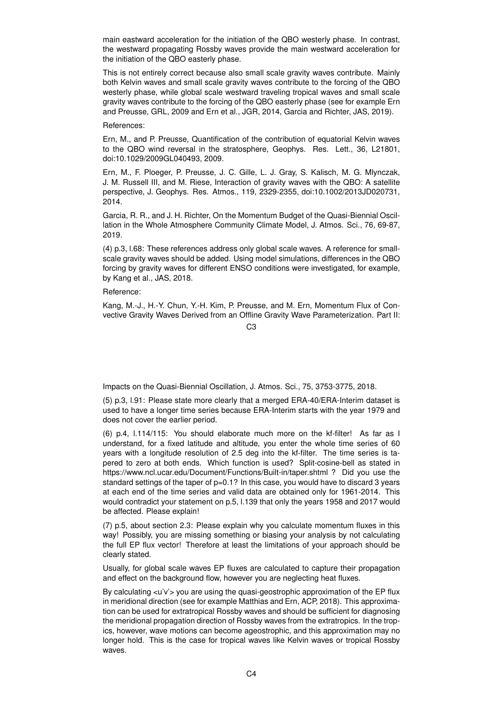main eastward acceleration for the initiation of the QBO westerly phase. In contrast, the westward propagating Rossby waves provide the main westward acceleration for the initiation of the QBO easterly phase.

This is not entirely correct because also small scale gravity waves contribute. Mainly both Kelvin waves and small scale gravity waves contribute to the forcing of the QBO westerly phase, while global scale westward traveling tropical waves and small scale gravity waves contribute to the forcing of the QBO easterly phase (see for example Ern and Preusse, GRL, 2009 and Ern et al., JGR, 2014, Garcia and Richter, JAS, 2019).

References:

Ern, M., and P. Preusse, Quantification of the contribution of equatorial Kelvin waves to the QBO wind reversal in the stratosphere, Geophys. Res. Lett., 36, L21801, doi:10.1029/2009GL040493, 2009.

Ern, M., F. Ploeger, P. Preusse, J. C. Gille, L. J. Gray, S. Kalisch, M. G. Mlynczak, J. M. Russell III, and M. Riese, Interaction of gravity waves with the QBO: A satellite perspective, J. Geophys. Res. Atmos., 119, 2329-2355, doi:10.1002/2013JD020731, 2014.

Garcia, R. R., and J. H. Richter, On the Momentum Budget of the Quasi-Biennial Oscillation in the Whole Atmosphere Community Climate Model, J. Atmos. Sci., 76, 69-87, 2019.

(4) p.3, l.68: These references address only global scale waves. A reference for smallscale gravity waves should be added. Using model simulations, differences in the QBO forcing by gravity waves for different ENSO conditions were investigated, for example, by Kang et al., JAS, 2018.

Reference:

Kang, M.-J., H.-Y. Chun, Y.-H. Kim, P. Preusse, and M. Ern, Momentum Flux of Convective Gravity Waves Derived from an Offline Gravity Wave Parameterization. Part II:

 $C<sub>3</sub>$ 

Impacts on the Quasi-Biennial Oscillation, J. Atmos. Sci., 75, 3753-3775, 2018.

(5) p.3, l.91: Please state more clearly that a merged ERA-40/ERA-Interim dataset is used to have a longer time series because ERA-Interim starts with the year 1979 and does not cover the earlier period.

(6) p.4, l.114/115: You should elaborate much more on the kf-filter! As far as I understand, for a fixed latitude and altitude, you enter the whole time series of 60 years with a longitude resolution of 2.5 deg into the kf-filter. The time series is tapered to zero at both ends. Which function is used? Split-cosine-bell as stated in https://www.ncl.ucar.edu/Document/Functions/Built-in/taper.shtml ? Did you use the standard settings of the taper of p=0.1? In this case, you would have to discard 3 years at each end of the time series and valid data are obtained only for 1961-2014. This would contradict your statement on p.5, l.139 that only the years 1958 and 2017 would be affected. Please explain!

(7) p.5, about section 2.3: Please explain why you calculate momentum fluxes in this way! Possibly, you are missing something or biasing your analysis by not calculating the full EP flux vector! Therefore at least the limitations of your approach should be clearly stated.

Usually, for global scale waves EP fluxes are calculated to capture their propagation and effect on the background flow, however you are neglecting heat fluxes.

By calculating <u'v'> you are using the quasi-geostrophic approximation of the EP flux in meridional direction (see for example Matthias and Ern, ACP, 2018). This approximation can be used for extratropical Rossby waves and should be sufficient for diagnosing the meridional propagation direction of Rossby waves from the extratropics. In the tropics, however, wave motions can become ageostrophic, and this approximation may no longer hold. This is the case for tropical waves like Kelvin waves or tropical Rossby waves.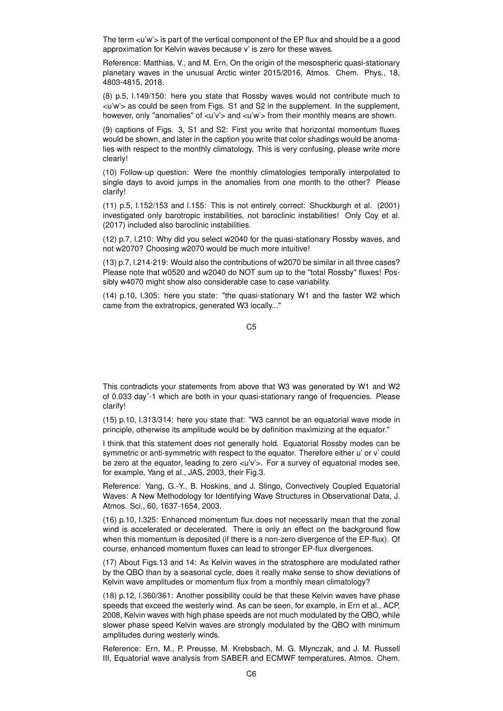The term  $\langle u'w'\rangle$  is part of the vertical component of the EP flux and should be a a good approximation for Kelvin waves because v' is zero for these waves.

Reference: Matthias, V., and M. Ern, On the origin of the mesospheric quasi-stationary planetary waves in the unusual Arctic winter 2015/2016, Atmos. Chem. Phys., 18, 4803-4815, 2018.

(8) p.5, l.149/150: here you state that Rossby waves would not contribute much to <u'w'> as could be seen from Figs. S1 and S2 in the supplement. In the supplement, however, only "anomalies" of <u'v'> and <u'w'> from their monthly means are shown.

(9) captions of Figs. 3, S1 and S2: First you write that horizontal momentum fluxes would be shown, and later in the caption you write that color shadings would be anomalies with respect to the monthly climatology. This is very confusing, please write more clearly!

(10) Follow-up question: Were the monthly climatologies temporally interpolated to single days to avoid jumps in the anomalies from one month to the other? Please clarify!

(11) p.5, l.152/153 and l.155: This is not entirely correct: Shuckburgh et al. (2001) investigated only barotropic instabilities, not baroclinic instabilities! Only Coy et al. (2017) included also baroclinic instabilities.

(12) p.7, l.210: Why did you select w2040 for the quasi-stationary Rossby waves, and not w2070? Choosing w2070 would be much more intuitive!

(13) p.7, l.214-219: Would also the contributions of w2070 be similar in all three cases? Please note that w0520 and w2040 do NOT sum up to the "total Rossby" fluxes! Possibly w4070 might show also considerable case to case variability.

(14) p.10, l.305: here you state: "the quasi-stationary W1 and the faster W2 which came from the extratropics, generated W3 locally..."

C5

This contradicts your statements from above that W3 was generated by W1 and W2 of 0.033 dayˆ-1 which are both in your quasi-stationary range of frequencies. Please clarify!

(15) p.10, l.313/314: here you state that: "W3 cannot be an equatorial wave mode in principle, otherwise its amplitude would be by definition maximizing at the equator."

I think that this statement does not generally hold. Equatorial Rossby modes can be symmetric or anti-symmetric with respect to the equator. Therefore either u' or v' could be zero at the equator, leading to zero <u'v'>. For a survey of equatorial modes see, for example, Yang et al., JAS, 2003, their Fig.3.

Reference: Yang, G.-Y., B. Hoskins, and J. Slingo, Convectively Coupled Equatorial Waves: A New Methodology for Identifying Wave Structures in Observational Data, J. Atmos. Sci., 60, 1637-1654, 2003.

(16) p.10, l.325: Enhanced momentum flux does not necessarily mean that the zonal wind is accelerated or decelerated. There is only an effect on the background flow when this momentum is deposited (if there is a non-zero divergence of the EP-flux). Of course, enhanced momentum fluxes can lead to stronger EP-flux divergences.

(17) About Figs.13 and 14: As Kelvin waves in the stratosphere are modulated rather by the QBO than by a seasonal cycle, does it really make sense to show deviations of Kelvin wave amplitudes or momentum flux from a monthly mean climatology?

(18) p.12, l.360/361: Another possibility could be that these Kelvin waves have phase speeds that exceed the westerly wind. As can be seen, for example, in Ern et al., ACP, 2008, Kelvin waves with high phase speeds are not much modulated by the QBO, while slower phase speed Kelvin waves are strongly modulated by the QBO with minimum amplitudes during westerly winds.

Reference: Ern, M., P. Preusse, M. Krebsbach, M. G. Mlynczak, and J. M. Russell III, Equatorial wave analysis from SABER and ECMWF temperatures, Atmos. Chem.